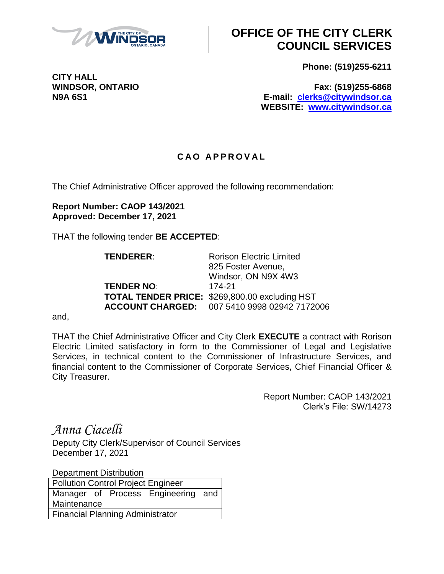

## **OFFICE OF THE CITY CLERK COUNCIL SERVICES**

**Phone: (519)255-6211**

**WINDSOR, ONTARIO Fax: (519)255-6868 N9A 6S1 E-mail: [clerks@citywindsor.ca](mailto:clerks@citywindsor.ca) WEBSITE: [www.citywindsor.ca](http://www.citywindsor.ca/)**

## **C A O A P P R O V A L**

The Chief Administrative Officer approved the following recommendation:

**Report Number: CAOP 143/2021 Approved: December 17, 2021**

THAT the following tender **BE ACCEPTED**:

**TENDERER:** Rorison Electric Limited 825 Foster Avenue, Windsor, ON N9X 4W3 **TENDER NO**: 174-21 **TOTAL TENDER PRICE:** \$269,800.00 excluding HST **ACCOUNT CHARGED:** 007 5410 9998 02942 7172006

and,

THAT the Chief Administrative Officer and City Clerk **EXECUTE** a contract with Rorison Electric Limited satisfactory in form to the Commissioner of Legal and Legislative Services, in technical content to the Commissioner of Infrastructure Services, and financial content to the Commissioner of Corporate Services, Chief Financial Officer & City Treasurer.

> Report Number: CAOP 143/2021 Clerk's File: SW/14273

*Anna Ciacelli*

Deputy City Clerk/Supervisor of Council Services December 17, 2021

**Department Distribution** 

Pollution Control Project Engineer Manager of Process Engineering and **Maintenance** Financial Planning Administrator

**CITY HALL**